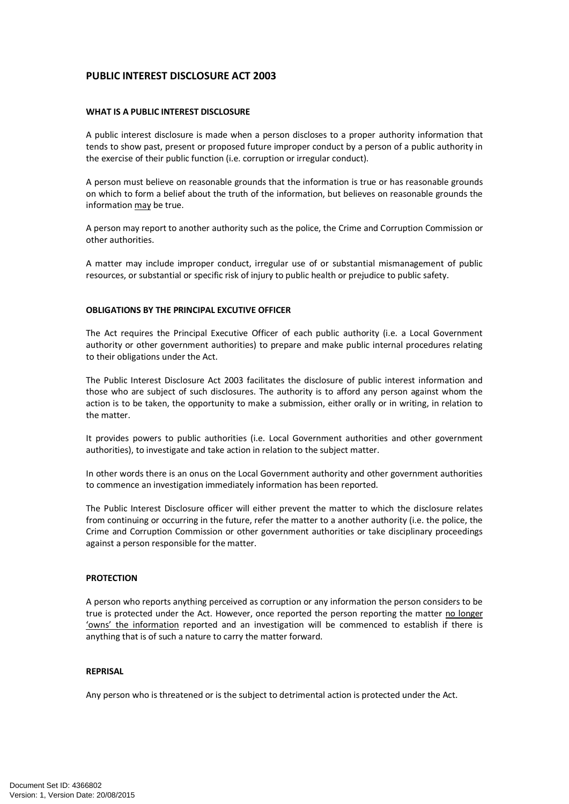# **PUBLIC INTEREST DISCLOSURE ACT 2003**

# **WHAT IS A PUBLIC INTEREST DISCLOSURE**

A public interest disclosure is made when a person discloses to a proper authority information that tends to show past, present or proposed future improper conduct by a person of a public authority in the exercise of their public function (i.e. corruption or irregular conduct).

A person must believe on reasonable grounds that the information is true or has reasonable grounds on which to form a belief about the truth of the information, but believes on reasonable grounds the information may be true.

A person may report to another authority such as the police, the Crime and Corruption Commission or other authorities.

A matter may include improper conduct, irregular use of or substantial mismanagement of public resources, or substantial or specific risk of injury to public health or prejudice to public safety.

# **OBLIGATIONS BY THE PRINCIPAL EXCUTIVE OFFICER**

The Act requires the Principal Executive Officer of each public authority (i.e. a Local Government authority or other government authorities) to prepare and make public internal procedures relating to their obligations under the Act.

The Public Interest Disclosure Act 2003 facilitates the disclosure of public interest information and those who are subject of such disclosures. The authority is to afford any person against whom the action is to be taken, the opportunity to make a submission, either orally or in writing, in relation to the matter.

It provides powers to public authorities (i.e. Local Government authorities and other government authorities), to investigate and take action in relation to the subject matter.

In other words there is an onus on the Local Government authority and other government authorities to commence an investigation immediately information has been reported.

The Public Interest Disclosure officer will either prevent the matter to which the disclosure relates from continuing or occurring in the future, refer the matter to a another authority (i.e. the police, the Crime and Corruption Commission or other government authorities or take disciplinary proceedings against a person responsible for the matter.

#### **PROTECTION**

A person who reports anything perceived as corruption or any information the person considers to be true is protected under the Act. However, once reported the person reporting the matter no longer 'owns' the information reported and an investigation will be commenced to establish if there is anything that is of such a nature to carry the matter forward.

#### **REPRISAL**

Any person who is threatened or is the subject to detrimental action is protected under the Act.